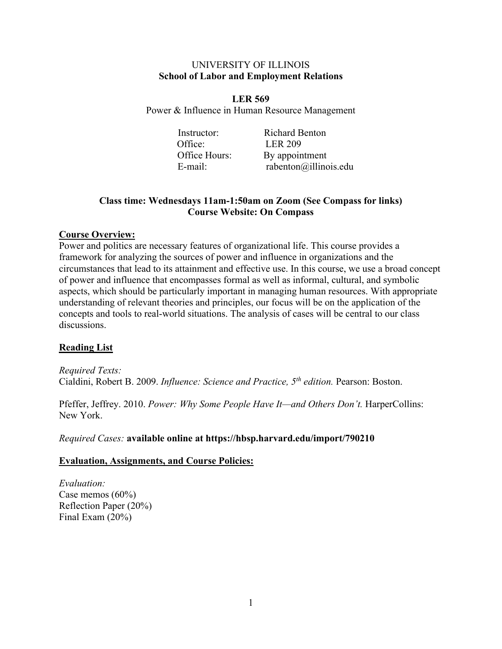#### UNIVERSITY OF ILLINOIS **School of Labor and Employment Relations**

**LER 569** Power & Influence in Human Resource Management

> Instructor: Richard Benton Office: LER 209 Office Hours: By appointment

E-mail: rabenton@illinois.edu

# **Class time: Wednesdays 11am-1:50am on Zoom (See Compass for links) Course Website: On Compass**

## **Course Overview:**

Power and politics are necessary features of organizational life. This course provides a framework for analyzing the sources of power and influence in organizations and the circumstances that lead to its attainment and effective use. In this course, we use a broad concept of power and influence that encompasses formal as well as informal, cultural, and symbolic aspects, which should be particularly important in managing human resources. With appropriate understanding of relevant theories and principles, our focus will be on the application of the concepts and tools to real-world situations. The analysis of cases will be central to our class discussions.

# **Reading List**

*Required Texts:* Cialdini, Robert B. 2009. *Influence: Science and Practice, 5th edition.* Pearson: Boston.

Pfeffer, Jeffrey. 2010. *Power: Why Some People Have It—and Others Don't*. HarperCollins: New York.

*Required Cases:* **available online at https://hbsp.harvard.edu/import/790210**

## **Evaluation, Assignments, and Course Policies:**

*Evaluation:* Case memos (60%) Reflection Paper (20%) Final Exam (20%)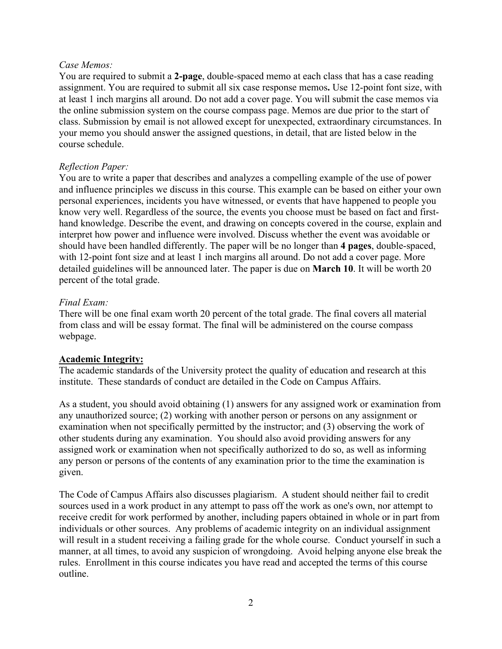## *Case Memos:*

You are required to submit a **2-page**, double-spaced memo at each class that has a case reading assignment. You are required to submit all six case response memos**.** Use 12-point font size, with at least 1 inch margins all around. Do not add a cover page. You will submit the case memos via the online submission system on the course compass page. Memos are due prior to the start of class. Submission by email is not allowed except for unexpected, extraordinary circumstances. In your memo you should answer the assigned questions, in detail, that are listed below in the course schedule.

## *Reflection Paper:*

You are to write a paper that describes and analyzes a compelling example of the use of power and influence principles we discuss in this course. This example can be based on either your own personal experiences, incidents you have witnessed, or events that have happened to people you know very well. Regardless of the source, the events you choose must be based on fact and firsthand knowledge. Describe the event, and drawing on concepts covered in the course, explain and interpret how power and influence were involved. Discuss whether the event was avoidable or should have been handled differently. The paper will be no longer than **4 pages**, double-spaced, with 12-point font size and at least 1 inch margins all around. Do not add a cover page. More detailed guidelines will be announced later. The paper is due on **March 10**. It will be worth 20 percent of the total grade.

## *Final Exam:*

There will be one final exam worth 20 percent of the total grade. The final covers all material from class and will be essay format. The final will be administered on the course compass webpage.

# **Academic Integrity:**

The academic standards of the University protect the quality of education and research at this institute. These standards of conduct are detailed in the Code on Campus Affairs.

As a student, you should avoid obtaining (1) answers for any assigned work or examination from any unauthorized source; (2) working with another person or persons on any assignment or examination when not specifically permitted by the instructor; and (3) observing the work of other students during any examination. You should also avoid providing answers for any assigned work or examination when not specifically authorized to do so, as well as informing any person or persons of the contents of any examination prior to the time the examination is given.

The Code of Campus Affairs also discusses plagiarism. A student should neither fail to credit sources used in a work product in any attempt to pass off the work as one's own, nor attempt to receive credit for work performed by another, including papers obtained in whole or in part from individuals or other sources. Any problems of academic integrity on an individual assignment will result in a student receiving a failing grade for the whole course. Conduct yourself in such a manner, at all times, to avoid any suspicion of wrongdoing. Avoid helping anyone else break the rules. Enrollment in this course indicates you have read and accepted the terms of this course outline.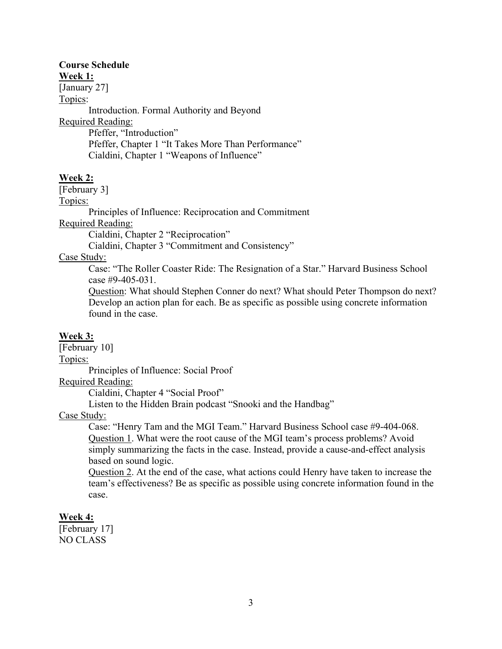#### **Course Schedule Week 1:**

[January 27]

Topics:

Introduction. Formal Authority and Beyond Required Reading: Pfeffer, "Introduction" Pfeffer, Chapter 1 "It Takes More Than Performance"

Cialdini, Chapter 1 "Weapons of Influence"

## **Week 2:**

[February 3]

Topics:

Principles of Influence: Reciprocation and Commitment

Required Reading:

Cialdini, Chapter 2 "Reciprocation"

Cialdini, Chapter 3 "Commitment and Consistency"

Case Study:

Case: "The Roller Coaster Ride: The Resignation of a Star." Harvard Business School case #9-405-031.

Question: What should Stephen Conner do next? What should Peter Thompson do next? Develop an action plan for each. Be as specific as possible using concrete information found in the case.

## **Week 3:**

[February 10] Topics: Principles of Influence: Social Proof

Required Reading:

Cialdini, Chapter 4 "Social Proof"

Listen to the Hidden Brain podcast "Snooki and the Handbag"

Case Study:

Case: "Henry Tam and the MGI Team." Harvard Business School case #9-404-068. Question 1. What were the root cause of the MGI team's process problems? Avoid simply summarizing the facts in the case. Instead, provide a cause-and-effect analysis based on sound logic.

Question 2. At the end of the case, what actions could Henry have taken to increase the team's effectiveness? Be as specific as possible using concrete information found in the case.

# **Week 4:**

[February 17] NO CLASS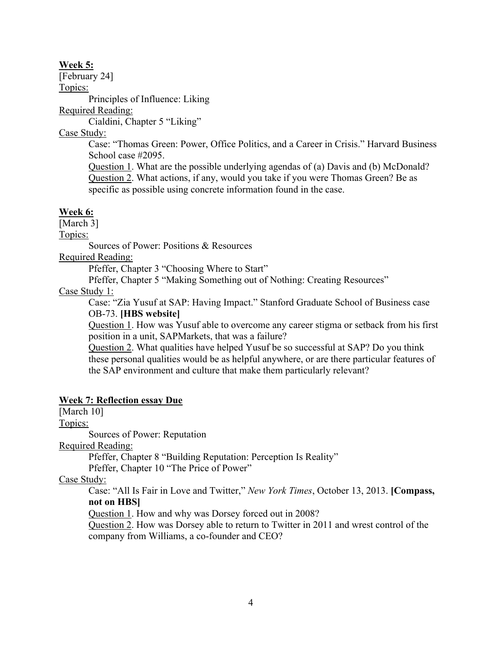### **Week 5:**

[February 24]

Topics:

Principles of Influence: Liking

Required Reading:

Cialdini, Chapter 5 "Liking"

Case Study:

Case: "Thomas Green: Power, Office Politics, and a Career in Crisis." Harvard Business School case #2095.

Question 1. What are the possible underlying agendas of (a) Davis and (b) McDonald? Question 2. What actions, if any, would you take if you were Thomas Green? Be as specific as possible using concrete information found in the case.

## **Week 6:**

[March 3]

Topics:

Sources of Power: Positions & Resources

Required Reading:

Pfeffer, Chapter 3 "Choosing Where to Start"

Pfeffer, Chapter 5 "Making Something out of Nothing: Creating Resources"

## Case Study 1:

Case: "Zia Yusuf at SAP: Having Impact." Stanford Graduate School of Business case OB-73. **[HBS website]**

Question 1. How was Yusuf able to overcome any career stigma or setback from his first position in a unit, SAPMarkets, that was a failure?

Question 2. What qualities have helped Yusuf be so successful at SAP? Do you think these personal qualities would be as helpful anywhere, or are there particular features of the SAP environment and culture that make them particularly relevant?

## **Week 7: Reflection essay Due**

[March 10]

Topics:

Sources of Power: Reputation

Required Reading:

Pfeffer, Chapter 8 "Building Reputation: Perception Is Reality"

Pfeffer, Chapter 10 "The Price of Power"

Case Study:

Case: "All Is Fair in Love and Twitter," *New York Times*, October 13, 2013. **[Compass, not on HBS]**

Question 1. How and why was Dorsey forced out in 2008?

Question 2. How was Dorsey able to return to Twitter in 2011 and wrest control of the company from Williams, a co-founder and CEO?